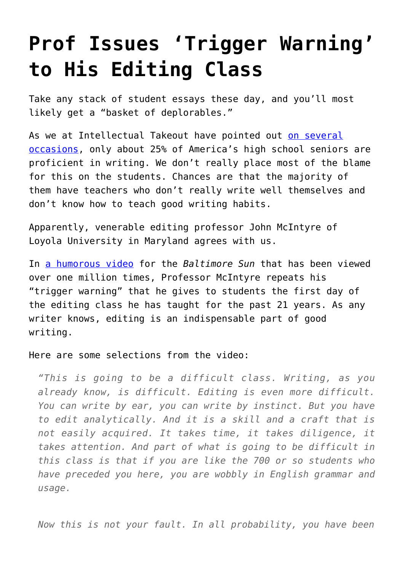## **[Prof Issues 'Trigger Warning'](https://intellectualtakeout.org/2016/09/prof-issues-trigger-warning-to-his-editing-class/) [to His Editing Class](https://intellectualtakeout.org/2016/09/prof-issues-trigger-warning-to-his-editing-class/)**

Take any stack of student essays these day, and you'll most likely get a "basket of deplorables."

As we at Intellectual Takeout have pointed out [on several](https://www.intellectualtakeout.org/blog/1897-text-gives-3-clues-why-todays-students-cant-write) [occasions,](https://www.intellectualtakeout.org/blog/1897-text-gives-3-clues-why-todays-students-cant-write) only about 25% of America's high school seniors are proficient in writing. We don't really place most of the blame for this on the students. Chances are that the majority of them have teachers who don't really write well themselves and don't know how to teach good writing habits.

Apparently, venerable editing professor John McIntyre of Loyola University in Maryland agrees with us.

In [a humorous video](https://www.facebook.com/baltimoresun/videos/10154522831964712/) for the *Baltimore Sun* that has been viewed over one million times, Professor McIntyre repeats his "trigger warning" that he gives to students the first day of the editing class he has taught for the past 21 years. As any writer knows, editing is an indispensable part of good writing.

Here are some selections from the video:

*"This is going to be a difficult class. Writing, as you already know, is difficult. Editing is even more difficult. You can write by ear, you can write by instinct. But you have to edit analytically. And it is a skill and a craft that is not easily acquired. It takes time, it takes diligence, it takes attention. And part of what is going to be difficult in this class is that if you are like the 700 or so students who have preceded you here, you are wobbly in English grammar and usage.*

*Now this is not your fault. In all probability, you have been*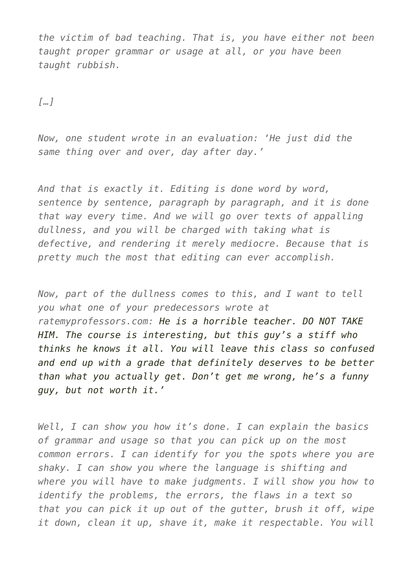*the victim of bad teaching. That is, you have either not been taught proper grammar or usage at all, or you have been taught rubbish.*

*[…]*

*Now, one student wrote in an evaluation: 'He just did the same thing over and over, day after day.'*

*And that is exactly it. Editing is done word by word, sentence by sentence, paragraph by paragraph, and it is done that way every time. And we will go over texts of appalling dullness, and you will be charged with taking what is defective, and rendering it merely mediocre. Because that is pretty much the most that editing can ever accomplish.*

*Now, part of the dullness comes to this, and I want to tell you what one of your predecessors wrote at ratemyprofessors.com: He is a horrible teacher. DO NOT TAKE HIM. The course is interesting, but this guy's a stiff who thinks he knows it all. You will leave this class so confused and end up with a grade that definitely deserves to be better than what you actually get. Don't get me wrong, he's a funny guy, but not worth it.'*

*Well, I can show you how it's done. I can explain the basics of grammar and usage so that you can pick up on the most common errors. I can identify for you the spots where you are shaky. I can show you where the language is shifting and where you will have to make judgments. I will show you how to identify the problems, the errors, the flaws in a text so that you can pick it up out of the gutter, brush it off, wipe it down, clean it up, shave it, make it respectable. You will*